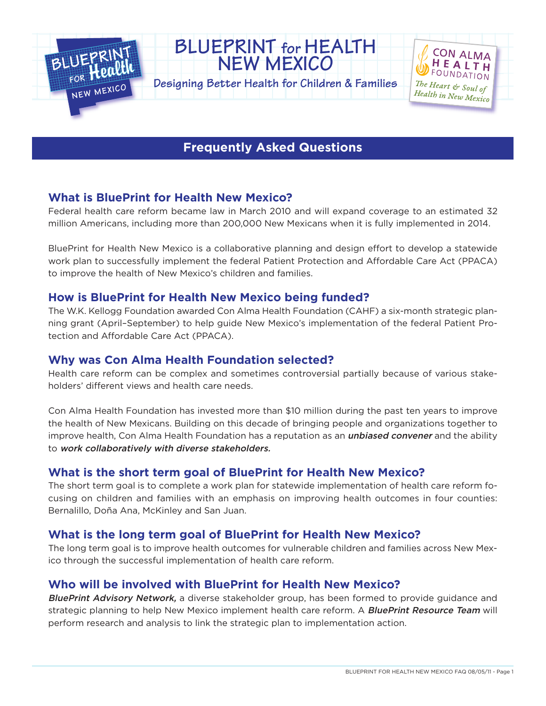

# **BLUEPRINT for HEALTH NEW MEXICO**

**Designing Better Health for Children & Families**



## **Frequently Asked Questions**

### **What is BluePrint for Health New Mexico?**

Federal health care reform became law in March 2010 and will expand coverage to an estimated 32 million Americans, including more than 200,000 New Mexicans when it is fully implemented in 2014.

BluePrint for Health New Mexico is a collaborative planning and design effort to develop a statewide work plan to successfully implement the federal Patient Protection and Affordable Care Act (PPACA) to improve the health of New Mexico's children and families.

#### **How is BluePrint for Health New Mexico being funded?**

The W.K. Kellogg Foundation awarded Con Alma Health Foundation (CAHF) a six-month strategic planning grant (April–September) to help guide New Mexico's implementation of the federal Patient Protection and Affordable Care Act (PPACA).

#### **Why was Con Alma Health Foundation selected?**

Health care reform can be complex and sometimes controversial partially because of various stakeholders' different views and health care needs.

Con Alma Health Foundation has invested more than \$10 million during the past ten years to improve the health of New Mexicans. Building on this decade of bringing people and organizations together to improve health, Con Alma Health Foundation has a reputation as an *unbiased convener* and the ability to work collaboratively with diverse stakeholders.

#### **What is the short term goal of BluePrint for Health New Mexico?**

The short term goal is to complete a work plan for statewide implementation of health care reform focusing on children and families with an emphasis on improving health outcomes in four counties: Bernalillo, Doña Ana, McKinley and San Juan.

### **What is the long term goal of BluePrint for Health New Mexico?**

The long term goal is to improve health outcomes for vulnerable children and families across New Mexico through the successful implementation of health care reform.

### **Who will be involved with BluePrint for Health New Mexico?**

BluePrint Advisory Network, a diverse stakeholder group, has been formed to provide guidance and strategic planning to help New Mexico implement health care reform. A **BluePrint Resource Team** will perform research and analysis to link the strategic plan to implementation action.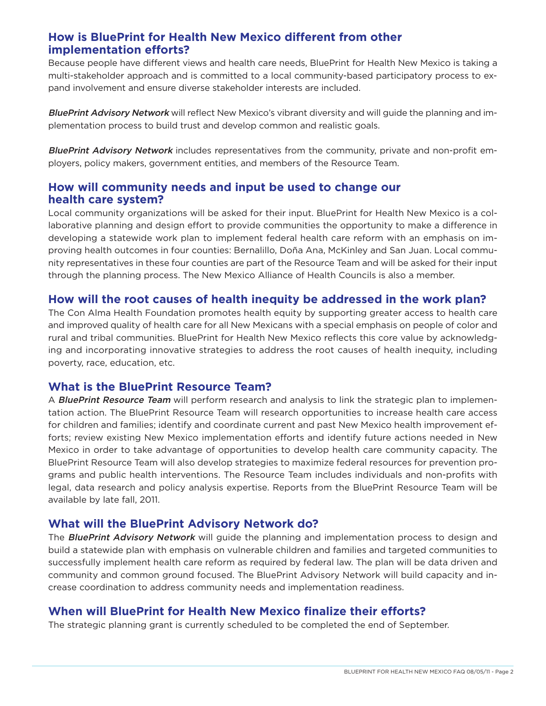#### **How is BluePrint for Health New Mexico different from other implementation efforts?**

Because people have different views and health care needs, BluePrint for Health New Mexico is taking a multi-stakeholder approach and is committed to a local community-based participatory process to expand involvement and ensure diverse stakeholder interests are included.

BluePrint Advisory Network will reflect New Mexico's vibrant diversity and will guide the planning and implementation process to build trust and develop common and realistic goals.

BluePrint Advisory Network includes representatives from the community, private and non-profit employers, policy makers, government entities, and members of the Resource Team.

#### **How will community needs and input be used to change our health care system?**

Local community organizations will be asked for their input. BluePrint for Health New Mexico is a collaborative planning and design effort to provide communities the opportunity to make a difference in developing a statewide work plan to implement federal health care reform with an emphasis on improving health outcomes in four counties: Bernalillo, Doña Ana, McKinley and San Juan. Local community representatives in these four counties are part of the Resource Team and will be asked for their input through the planning process. The New Mexico Alliance of Health Councils is also a member.

#### **How will the root causes of health inequity be addressed in the work plan?**

The Con Alma Health Foundation promotes health equity by supporting greater access to health care and improved quality of health care for all New Mexicans with a special emphasis on people of color and rural and tribal communities. BluePrint for Health New Mexico reflects this core value by acknowledging and incorporating innovative strategies to address the root causes of health inequity, including poverty, race, education, etc.

#### **What is the BluePrint Resource Team?**

A **BluePrint Resource Team** will perform research and analysis to link the strategic plan to implementation action. The BluePrint Resource Team will research opportunities to increase health care access for children and families; identify and coordinate current and past New Mexico health improvement efforts; review existing New Mexico implementation efforts and identify future actions needed in New Mexico in order to take advantage of opportunities to develop health care community capacity. The BluePrint Resource Team will also develop strategies to maximize federal resources for prevention programs and public health interventions. The Resource Team includes individuals and non-profits with legal, data research and policy analysis expertise. Reports from the BluePrint Resource Team will be available by late fall, 2011.

#### **What will the BluePrint Advisory Network do?**

The **BluePrint Advisory Network** will guide the planning and implementation process to design and build a statewide plan with emphasis on vulnerable children and families and targeted communities to successfully implement health care reform as required by federal law. The plan will be data driven and community and common ground focused. The BluePrint Advisory Network will build capacity and increase coordination to address community needs and implementation readiness.

#### **When will BluePrint for Health New Mexico finalize their efforts?**

The strategic planning grant is currently scheduled to be completed the end of September.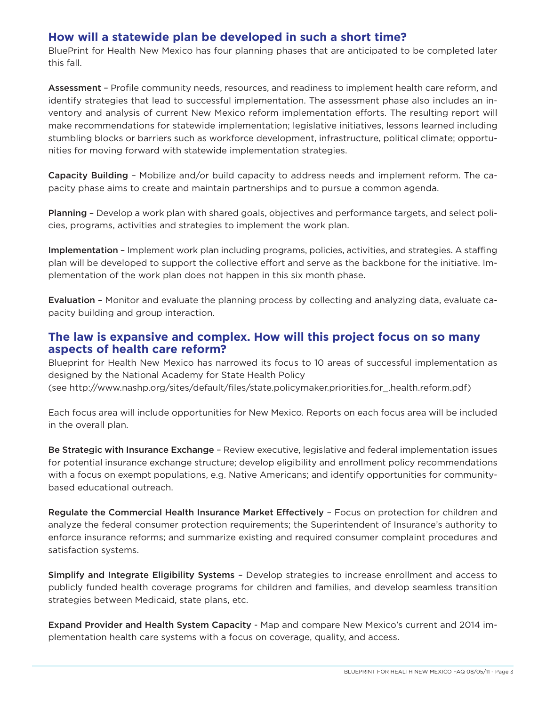#### **How will a statewide plan be developed in such a short time?**

BluePrint for Health New Mexico has four planning phases that are anticipated to be completed later this fall.

Assessment – Profile community needs, resources, and readiness to implement health care reform, and identify strategies that lead to successful implementation. The assessment phase also includes an inventory and analysis of current New Mexico reform implementation efforts. The resulting report will make recommendations for statewide implementation; legislative initiatives, lessons learned including stumbling blocks or barriers such as workforce development, infrastructure, political climate; opportunities for moving forward with statewide implementation strategies.

Capacity Building – Mobilize and/or build capacity to address needs and implement reform. The capacity phase aims to create and maintain partnerships and to pursue a common agenda.

Planning – Develop a work plan with shared goals, objectives and performance targets, and select policies, programs, activities and strategies to implement the work plan.

Implementation - Implement work plan including programs, policies, activities, and strategies. A staffing plan will be developed to support the collective effort and serve as the backbone for the initiative. Implementation of the work plan does not happen in this six month phase.

Evaluation – Monitor and evaluate the planning process by collecting and analyzing data, evaluate capacity building and group interaction.

#### **The law is expansive and complex. How will this project focus on so many aspects of health care reform?**

Blueprint for Health New Mexico has narrowed its focus to 10 areas of successful implementation as designed by the National Academy for State Health Policy (see http://www.nashp.org/sites/default/files/state.policymaker.priorities.for\_.health.reform.pdf)

Each focus area will include opportunities for New Mexico. Reports on each focus area will be included in the overall plan.

Be Strategic with Insurance Exchange – Review executive, legislative and federal implementation issues for potential insurance exchange structure; develop eligibility and enrollment policy recommendations with a focus on exempt populations, e.g. Native Americans; and identify opportunities for communitybased educational outreach.

Regulate the Commercial Health Insurance Market Effectively - Focus on protection for children and analyze the federal consumer protection requirements; the Superintendent of Insurance's authority to enforce insurance reforms; and summarize existing and required consumer complaint procedures and satisfaction systems.

Simplify and Integrate Eligibility Systems – Develop strategies to increase enrollment and access to publicly funded health coverage programs for children and families, and develop seamless transition strategies between Medicaid, state plans, etc.

Expand Provider and Health System Capacity - Map and compare New Mexico's current and 2014 implementation health care systems with a focus on coverage, quality, and access.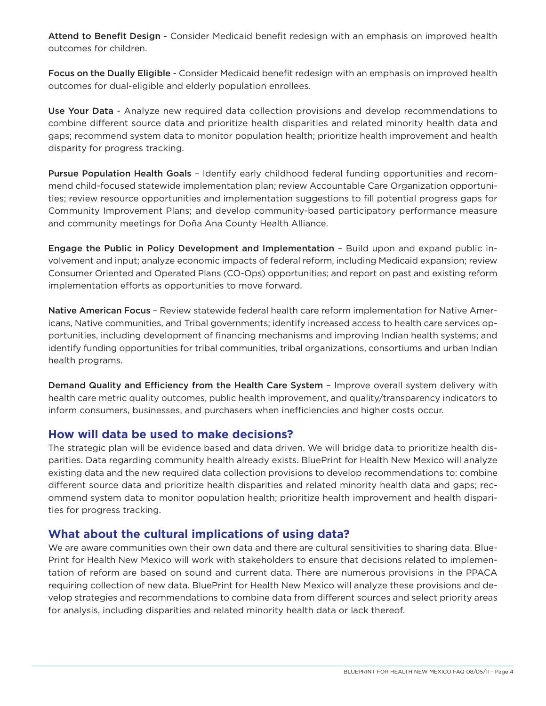Attend to Benefit Design - Consider Medicaid benefit redesign with an emphasis on improved health outcomes for children.

Focus on the Dually Eligible - Consider Medicaid benefit redesign with an emphasis on improved health outcomes for dual-eligible and elderly population enrollees.

Use Your Data - Analyze new required data collection provisions and develop recommendations to combine different source data and prioritize health disparities and related minority health data and gaps; recommend system data to monitor population health; prioritize health improvement and health disparity for progress tracking.

Pursue Population Health Goals – Identify early childhood federal funding opportunities and recommend child-focused statewide implementation plan; review Accountable Care Organization opportunities; review resource opportunities and implementation suggestions to fill potential progress gaps for Community Improvement Plans; and develop community-based participatory performance measure and community meetings for Doña Ana County Health Alliance.

Engage the Public in Policy Development and Implementation – Build upon and expand public involvement and input; analyze economic impacts of federal reform, including Medicaid expansion; review Consumer Oriented and Operated Plans (CO-Ops) opportunities; and report on past and existing reform implementation efforts as opportunities to move forward.

Native American Focus – Review statewide federal health care reform implementation for Native Americans, Native communities, and Tribal governments; identify increased access to health care services opportunities, including development of financing mechanisms and improving Indian health systems; and identify funding opportunities for tribal communities, tribal organizations, consortiums and urban Indian health programs.

Demand Quality and Efficiency from the Health Care System - Improve overall system delivery with health care metric quality outcomes, public health improvement, and quality/transparency indicators to inform consumers, businesses, and purchasers when inefficiencies and higher costs occur.

#### **How will data be used to make decisions?**

The strategic plan will be evidence based and data driven. We will bridge data to prioritize health disparities. Data regarding community health already exists. BluePrint for Health New Mexico will analyze existing data and the new required data collection provisions to develop recommendations to: combine different source data and prioritize health disparities and related minority health data and gaps; recommend system data to monitor population health; prioritize health improvement and health disparities for progress tracking.

#### **What about the cultural implications of using data?**

We are aware communities own their own data and there are cultural sensitivities to sharing data. Blue-Print for Health New Mexico will work with stakeholders to ensure that decisions related to implementation of reform are based on sound and current data. There are numerous provisions in the PPACA requiring collection of new data. BluePrint for Health New Mexico will analyze these provisions and develop strategies and recommendations to combine data from different sources and select priority areas for analysis, including disparities and related minority health data or lack thereof.